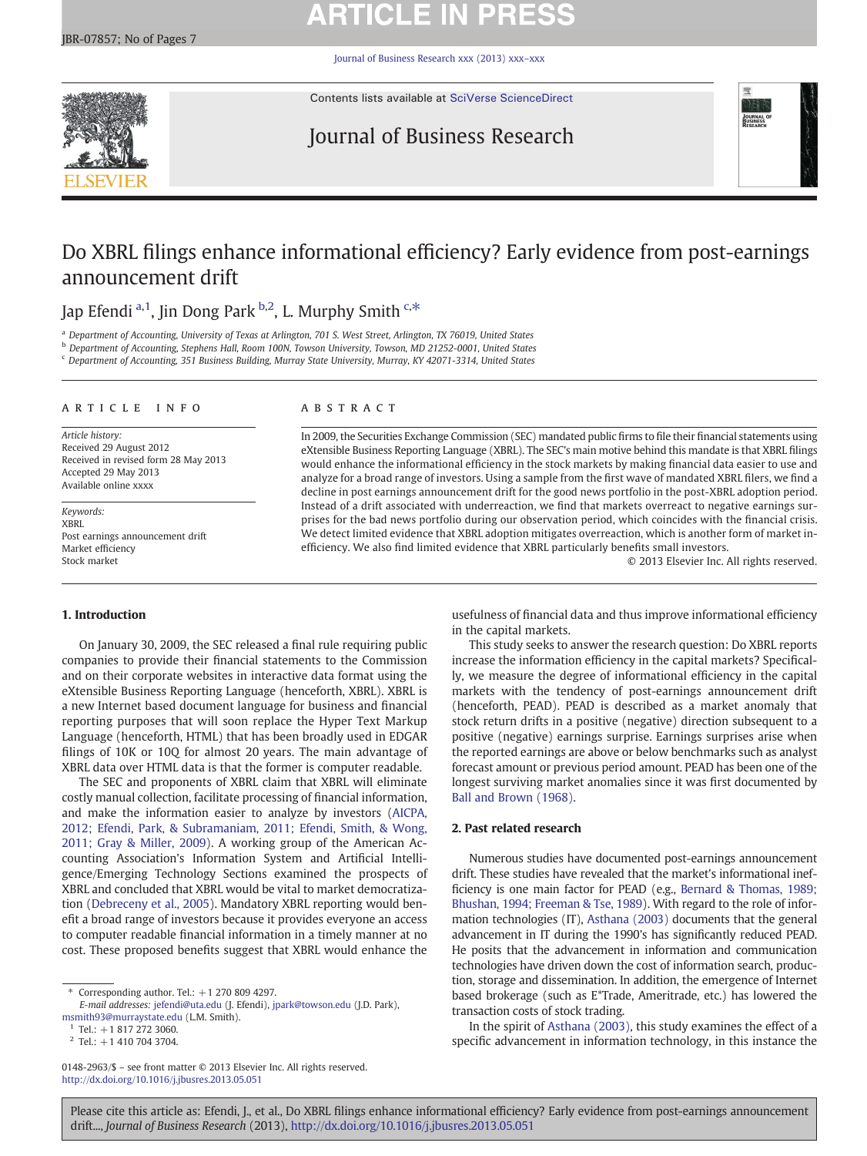# **ARTICLE IN PRESS**

[Journal of Business Research xxx \(2013\) xxx](http://dx.doi.org/10.1016/j.jbusres.2013.05.051)–xxx



Contents lists available at [SciVerse ScienceDirect](http://www.sciencedirect.com/science/journal/01482963)

## Journal of Business Research



## Do XBRL filings enhance informational efficiency? Early evidence from post-earnings announcement drift

## Jap Efendi <sup>a, 1</sup>, Jin Dong Park <sup>b,2</sup>, L. Murphy Smith <sup>c,\*</sup>

a Department of Accounting, University of Texas at Arlington, 701 S. West Street, Arlington, TX 76019, United States

<sup>b</sup> Department of Accounting, Stephens Hall, Room 100N, Towson University, Towson, MD 21252-0001, United States

<sup>c</sup> Department of Accounting, 351 Business Building, Murray State University, Murray, KY 42071-3314, United States

#### article info abstract

Article history: Received 29 August 2012 Received in revised form 28 May 2013 Accepted 29 May 2013 Available online xxxx

Keywords: XBRL Post earnings announcement drift Market efficiency Stock market

In 2009, the Securities Exchange Commission (SEC) mandated public firms to file their financial statements using eXtensible Business Reporting Language (XBRL). The SEC's main motive behind this mandate is that XBRL filings would enhance the informational efficiency in the stock markets by making financial data easier to use and analyze for a broad range of investors. Using a sample from the first wave of mandated XBRL filers, we find a decline in post earnings announcement drift for the good news portfolio in the post-XBRL adoption period. Instead of a drift associated with underreaction, we find that markets overreact to negative earnings surprises for the bad news portfolio during our observation period, which coincides with the financial crisis. We detect limited evidence that XBRL adoption mitigates overreaction, which is another form of market inefficiency. We also find limited evidence that XBRL particularly benefits small investors.

© 2013 Elsevier Inc. All rights reserved.

#### 1. Introduction

On January 30, 2009, the SEC released a final rule requiring public companies to provide their financial statements to the Commission and on their corporate websites in interactive data format using the eXtensible Business Reporting Language (henceforth, XBRL). XBRL is a new Internet based document language for business and financial reporting purposes that will soon replace the Hyper Text Markup Language (henceforth, HTML) that has been broadly used in EDGAR filings of 10K or 10Q for almost 20 years. The main advantage of XBRL data over HTML data is that the former is computer readable.

The SEC and proponents of XBRL claim that XBRL will eliminate costly manual collection, facilitate processing of financial information, and make the information easier to analyze by investors ([AICPA,](#page--1-0) [2012; Efendi, Park, & Subramaniam, 2011; Efendi, Smith, & Wong,](#page--1-0) [2011; Gray & Miller, 2009\)](#page--1-0). A working group of the American Accounting Association's Information System and Artificial Intelligence/Emerging Technology Sections examined the prospects of XBRL and concluded that XBRL would be vital to market democratization ([Debreceny et al., 2005\)](#page--1-0). Mandatory XBRL reporting would benefit a broad range of investors because it provides everyone an access to computer readable financial information in a timely manner at no cost. These proposed benefits suggest that XBRL would enhance the

0148-2963/\$ – see front matter © 2013 Elsevier Inc. All rights reserved. <http://dx.doi.org/10.1016/j.jbusres.2013.05.051>

usefulness of financial data and thus improve informational efficiency in the capital markets.

This study seeks to answer the research question: Do XBRL reports increase the information efficiency in the capital markets? Specifically, we measure the degree of informational efficiency in the capital markets with the tendency of post-earnings announcement drift (henceforth, PEAD). PEAD is described as a market anomaly that stock return drifts in a positive (negative) direction subsequent to a positive (negative) earnings surprise. Earnings surprises arise when the reported earnings are above or below benchmarks such as analyst forecast amount or previous period amount. PEAD has been one of the longest surviving market anomalies since it was first documented by [Ball and Brown \(1968\).](#page--1-0)

### 2. Past related research

Numerous studies have documented post-earnings announcement drift. These studies have revealed that the market's informational inefficiency is one main factor for PEAD (e.g., [Bernard & Thomas, 1989;](#page--1-0) [Bhushan, 1994; Freeman & Tse, 1989](#page--1-0)). With regard to the role of information technologies (IT), [Asthana \(2003\)](#page--1-0) documents that the general advancement in IT during the 1990's has significantly reduced PEAD. He posits that the advancement in information and communication technologies have driven down the cost of information search, production, storage and dissemination. In addition, the emergence of Internet based brokerage (such as E\*Trade, Ameritrade, etc.) has lowered the transaction costs of stock trading.

In the spirit of [Asthana \(2003\)](#page--1-0), this study examines the effect of a specific advancement in information technology, in this instance the

Corresponding author. Tel.:  $+1$  270 809 4297.

E-mail addresses: [jefendi@uta.edu](mailto:jefendi@uta.edu) (J. Efendi), [jpark@towson.edu](mailto:jpark@towson.edu) (J.D. Park), [msmith93@murraystate.edu](mailto:msmith93@murraystate.edu) (L.M. Smith).

 $Tel: +18172723060.$ 

 $2$  Tel.: +1 410 704 3704.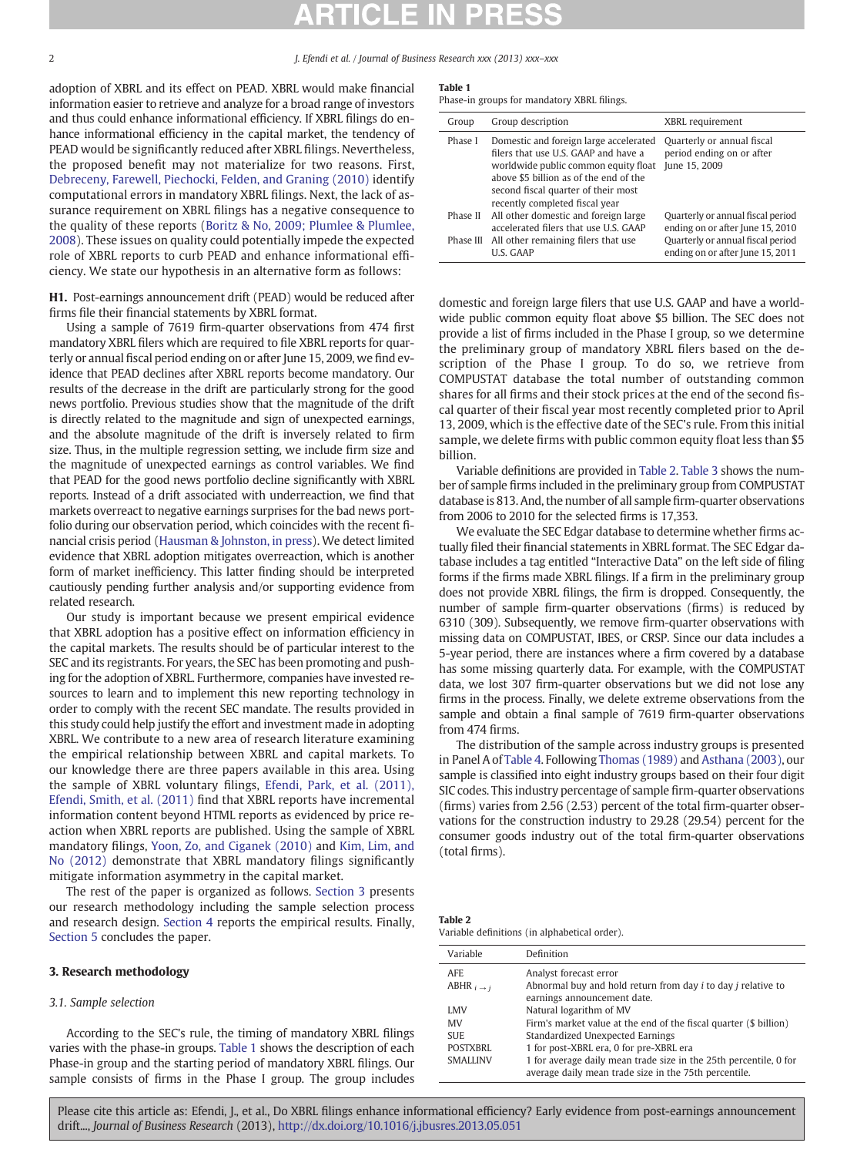2 J. Efendi et al. / Journal of Business Research xxx (2013) xxx–xxx

adoption of XBRL and its effect on PEAD. XBRL would make financial information easier to retrieve and analyze for a broad range of investors and thus could enhance informational efficiency. If XBRL filings do enhance informational efficiency in the capital market, the tendency of PEAD would be significantly reduced after XBRL filings. Nevertheless, the proposed benefit may not materialize for two reasons. First, [Debreceny, Farewell, Piechocki, Felden, and Graning \(2010\)](#page--1-0) identify computational errors in mandatory XBRL filings. Next, the lack of assurance requirement on XBRL filings has a negative consequence to the quality of these reports [\(Boritz & No, 2009; Plumlee & Plumlee,](#page--1-0) [2008](#page--1-0)). These issues on quality could potentially impede the expected role of XBRL reports to curb PEAD and enhance informational efficiency. We state our hypothesis in an alternative form as follows:

H1. Post-earnings announcement drift (PEAD) would be reduced after firms file their financial statements by XBRL format.

Using a sample of 7619 firm-quarter observations from 474 first mandatory XBRL filers which are required to file XBRL reports for quarterly or annual fiscal period ending on or after June 15, 2009, we find evidence that PEAD declines after XBRL reports become mandatory. Our results of the decrease in the drift are particularly strong for the good news portfolio. Previous studies show that the magnitude of the drift is directly related to the magnitude and sign of unexpected earnings, and the absolute magnitude of the drift is inversely related to firm size. Thus, in the multiple regression setting, we include firm size and the magnitude of unexpected earnings as control variables. We find that PEAD for the good news portfolio decline significantly with XBRL reports. Instead of a drift associated with underreaction, we find that markets overreact to negative earnings surprises for the bad news portfolio during our observation period, which coincides with the recent financial crisis period [\(Hausman & Johnston, in press](#page--1-0)). We detect limited evidence that XBRL adoption mitigates overreaction, which is another form of market inefficiency. This latter finding should be interpreted cautiously pending further analysis and/or supporting evidence from related research.

Our study is important because we present empirical evidence that XBRL adoption has a positive effect on information efficiency in the capital markets. The results should be of particular interest to the SEC and its registrants. For years, the SEC has been promoting and pushing for the adoption of XBRL. Furthermore, companies have invested resources to learn and to implement this new reporting technology in order to comply with the recent SEC mandate. The results provided in this study could help justify the effort and investment made in adopting XBRL. We contribute to a new area of research literature examining the empirical relationship between XBRL and capital markets. To our knowledge there are three papers available in this area. Using the sample of XBRL voluntary filings, [Efendi, Park, et al. \(2011\),](#page--1-0) [Efendi, Smith, et al. \(2011\)](#page--1-0) find that XBRL reports have incremental information content beyond HTML reports as evidenced by price reaction when XBRL reports are published. Using the sample of XBRL mandatory filings, [Yoon, Zo, and Ciganek \(2010\)](#page--1-0) and [Kim, Lim, and](#page--1-0) [No \(2012\)](#page--1-0) demonstrate that XBRL mandatory filings significantly mitigate information asymmetry in the capital market.

The rest of the paper is organized as follows. Section 3 presents our research methodology including the sample selection process and research design. [Section 4](#page--1-0) reports the empirical results. Finally, [Section 5](#page--1-0) concludes the paper.

### 3. Research methodology

### 3.1. Sample selection

According to the SEC's rule, the timing of mandatory XBRL filings varies with the phase-in groups. Table 1 shows the description of each Phase-in group and the starting period of mandatory XBRL filings. Our sample consists of firms in the Phase I group. The group includes

| Phase-in groups for mandatory XBRL filings. |  |  |  |  |
|---------------------------------------------|--|--|--|--|
|---------------------------------------------|--|--|--|--|

| Group     | Group description                                                                                                                                                                                                                         | XBRL requirement                                                         |
|-----------|-------------------------------------------------------------------------------------------------------------------------------------------------------------------------------------------------------------------------------------------|--------------------------------------------------------------------------|
| Phase I   | Domestic and foreign large accelerated<br>filers that use U.S. GAAP and have a<br>worldwide public common equity float<br>above \$5 billion as of the end of the<br>second fiscal quarter of their most<br>recently completed fiscal year | Quarterly or annual fiscal<br>period ending on or after<br>June 15, 2009 |
| Phase II  | All other domestic and foreign large<br>accelerated filers that use U.S. GAAP                                                                                                                                                             | Quarterly or annual fiscal period<br>ending on or after June 15, 2010    |
| Phase III | All other remaining filers that use<br>U.S. GAAP                                                                                                                                                                                          | Quarterly or annual fiscal period<br>ending on or after June 15, 2011    |

domestic and foreign large filers that use U.S. GAAP and have a worldwide public common equity float above \$5 billion. The SEC does not provide a list of firms included in the Phase I group, so we determine the preliminary group of mandatory XBRL filers based on the description of the Phase I group. To do so, we retrieve from COMPUSTAT database the total number of outstanding common shares for all firms and their stock prices at the end of the second fiscal quarter of their fiscal year most recently completed prior to April 13, 2009, which is the effective date of the SEC's rule. From this initial sample, we delete firms with public common equity float less than \$5 billion.

Variable definitions are provided in Table 2. [Table 3](#page--1-0) shows the number of sample firms included in the preliminary group from COMPUSTAT database is 813. And, the number of all sample firm-quarter observations from 2006 to 2010 for the selected firms is 17,353.

We evaluate the SEC Edgar database to determine whether firms actually filed their financial statements in XBRL format. The SEC Edgar database includes a tag entitled "Interactive Data" on the left side of filing forms if the firms made XBRL filings. If a firm in the preliminary group does not provide XBRL filings, the firm is dropped. Consequently, the number of sample firm-quarter observations (firms) is reduced by 6310 (309). Subsequently, we remove firm-quarter observations with missing data on COMPUSTAT, IBES, or CRSP. Since our data includes a 5-year period, there are instances where a firm covered by a database has some missing quarterly data. For example, with the COMPUSTAT data, we lost 307 firm-quarter observations but we did not lose any firms in the process. Finally, we delete extreme observations from the sample and obtain a final sample of 7619 firm-quarter observations from 474 firms.

The distribution of the sample across industry groups is presented in Panel A of [Table 4.](#page--1-0) Following [Thomas \(1989\)](#page--1-0) and [Asthana \(2003\)](#page--1-0), our sample is classified into eight industry groups based on their four digit SIC codes. This industry percentage of sample firm-quarter observations (firms) varies from 2.56 (2.53) percent of the total firm-quarter observations for the construction industry to 29.28 (29.54) percent for the consumer goods industry out of the total firm-quarter observations (total firms).

| Table 2 |                                               |
|---------|-----------------------------------------------|
|         | Variable definitions (in alphabetical order). |

| Variable                                                      | Definition                                                                                                                                                                                                                                                                                                |
|---------------------------------------------------------------|-----------------------------------------------------------------------------------------------------------------------------------------------------------------------------------------------------------------------------------------------------------------------------------------------------------|
| AFF.<br>ABHR $i \rightarrow i$                                | Analyst forecast error<br>Abnormal buy and hold return from day <i>i</i> to day <i>j</i> relative to<br>earnings announcement date.                                                                                                                                                                       |
| <b>LMV</b><br>MV<br><b>SUE</b><br>POSTXBRL<br><b>SMALLINV</b> | Natural logarithm of MV<br>Firm's market value at the end of the fiscal quarter (\$ billion)<br>Standardized Unexpected Earnings<br>1 for post-XBRL era, 0 for pre-XBRL era<br>1 for average daily mean trade size in the 25th percentile, 0 for<br>average daily mean trade size in the 75th percentile. |

Please cite this article as: Efendi, J., et al., Do XBRL filings enhance informational efficiency? Early evidence from post-earnings announcement drift..., Journal of Business Research (2013), <http://dx.doi.org/10.1016/j.jbusres.2013.05.051>